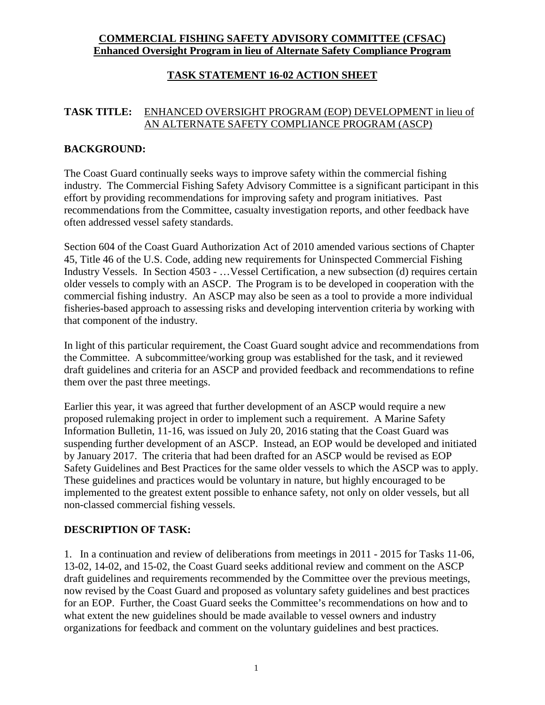# **COMMERCIAL FISHING SAFETY ADVISORY COMMITTEE (CFSAC) Enhanced Oversight Program in lieu of Alternate Safety Compliance Program**

# **TASK STATEMENT 16-02 ACTION SHEET**

## **TASK TITLE:** ENHANCED OVERSIGHT PROGRAM (EOP) DEVELOPMENT in lieu of AN ALTERNATE SAFETY COMPLIANCE PROGRAM (ASCP)

### **BACKGROUND:**

The Coast Guard continually seeks ways to improve safety within the commercial fishing industry. The Commercial Fishing Safety Advisory Committee is a significant participant in this effort by providing recommendations for improving safety and program initiatives. Past recommendations from the Committee, casualty investigation reports, and other feedback have often addressed vessel safety standards.

Section 604 of the Coast Guard Authorization Act of 2010 amended various sections of Chapter 45, Title 46 of the U.S. Code, adding new requirements for Uninspected Commercial Fishing Industry Vessels. In Section 4503 - …Vessel Certification, a new subsection (d) requires certain older vessels to comply with an ASCP. The Program is to be developed in cooperation with the commercial fishing industry. An ASCP may also be seen as a tool to provide a more individual fisheries-based approach to assessing risks and developing intervention criteria by working with that component of the industry.

In light of this particular requirement, the Coast Guard sought advice and recommendations from the Committee. A subcommittee/working group was established for the task, and it reviewed draft guidelines and criteria for an ASCP and provided feedback and recommendations to refine them over the past three meetings.

Earlier this year, it was agreed that further development of an ASCP would require a new proposed rulemaking project in order to implement such a requirement. A Marine Safety Information Bulletin, 11-16, was issued on July 20, 2016 stating that the Coast Guard was suspending further development of an ASCP. Instead, an EOP would be developed and initiated by January 2017. The criteria that had been drafted for an ASCP would be revised as EOP Safety Guidelines and Best Practices for the same older vessels to which the ASCP was to apply. These guidelines and practices would be voluntary in nature, but highly encouraged to be implemented to the greatest extent possible to enhance safety, not only on older vessels, but all non-classed commercial fishing vessels.

#### **DESCRIPTION OF TASK:**

1. In a continuation and review of deliberations from meetings in 2011 - 2015 for Tasks 11-06, 13-02, 14-02, and 15-02, the Coast Guard seeks additional review and comment on the ASCP draft guidelines and requirements recommended by the Committee over the previous meetings, now revised by the Coast Guard and proposed as voluntary safety guidelines and best practices for an EOP. Further, the Coast Guard seeks the Committee's recommendations on how and to what extent the new guidelines should be made available to vessel owners and industry organizations for feedback and comment on the voluntary guidelines and best practices.